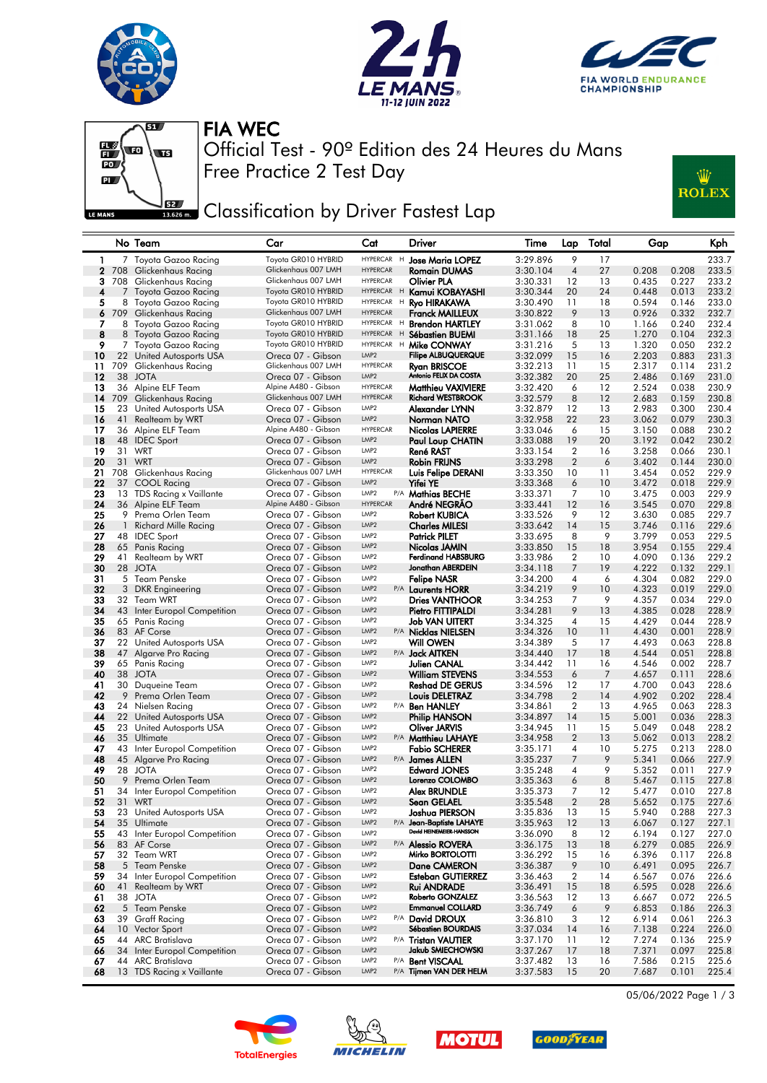







Free Practice 2 Test Day Official Test - 90º Edition des 24 Heures du Mans FIA WEC



## Classification by Driver Fastest Lap

|              |              | No Team                                        | Car                                      | Cat                                  | Driver                                     | Time                 | Lap                  | Total    | Gap                              | Kph            |
|--------------|--------------|------------------------------------------------|------------------------------------------|--------------------------------------|--------------------------------------------|----------------------|----------------------|----------|----------------------------------|----------------|
| 1            |              | 7 Toyota Gazoo Racing                          | Toyota GR010 HYBRID                      | HYPERCAR H                           | <b>Jose Maria LOPEZ</b>                    | 3:29.896             | 9                    | 17       |                                  | 233.7          |
| $\mathbf{2}$ | 708          | Glickenhaus Racing                             | Glickenhaus 007 LMH                      | <b>HYPERCAR</b>                      | Romain DUMAS                               | 3:30.104             | 4                    | 27       | 0.208<br>0.208                   | 233.5          |
| 3            |              | 708 Glickenhaus Racing                         | Glickenhaus 007 LMH                      | HYPERCAR                             | Olivier PLA                                | 3:30.331             | 12                   | 13       | 0.435<br>0.227                   | 233.2          |
| 4            |              | 7 Toyota Gazoo Racing                          | Toyota GR010 HYBRID                      | HYPERCAR H                           | Kamui KOBAYASHI                            | 3:30.344             | 20                   | 24       | 0.448<br>0.013                   | 233.2          |
| 5            |              | 8 Toyota Gazoo Racing                          | Toyota GR010 HYBRID                      | HYPERCAR H                           | Ryo HIRAKAWA                               | 3:30.490             | 11                   | 18       | 0.594<br>0.146                   | 233.0          |
| 6            |              | 709 Glickenhaus Racing                         | Glickenhaus 007 LMH                      | <b>HYPERCAR</b>                      | Franck MAILLEUX                            | 3:30.822             | 9                    | 13       | 0.926<br>0.332                   | 232.7          |
| 7            |              | 8 Toyota Gazoo Racing                          | Toyota GR010 HYBRID                      | HYPERCAR H                           | <b>Brendon HARTLEY</b>                     | 3:31.062             | 8                    | 10       | 0.240<br>1.166                   | 232.4          |
| 8            |              | 8 Toyota Gazoo Racing                          | Toyota GR010 HYBRID                      | HYPERCAR H                           | <b>Sébastien BUEMI</b>                     | 3:31.166             | 18                   | 25       | 1.270<br>0.104                   | 232.3          |
| 9            |              | 7 Toyota Gazoo Racing                          | Toyota GR010 HYBRID                      | HYPERCAR H<br>LMP <sub>2</sub>       | Mike CONWAY                                | 3:31.216             | 5                    | 13       | 1.320<br>0.050                   | 232.2          |
| 10<br>11     | 709          | 22 United Autosports USA<br>Glickenhaus Racing | Oreca 07 - Gibson<br>Glickenhaus 007 LMH | <b>HYPERCAR</b>                      | <b>Filipe ALBUQUERQUE</b><br>Ryan BRISCOE  | 3:32.099<br>3:32.213 | 15<br>11             | 16<br>15 | 2.203<br>0.883<br>2.317<br>0.114 | 231.3<br>231.2 |
| 12           | 38           | <b>JOTA</b>                                    | Oreca 07 - Gibson                        | LMP <sub>2</sub>                     | Antonio FELIX DA COSTA                     | 3:32.382             | 20                   | 25       | 2.486<br>0.169                   | 231.0          |
| 13           |              | 36 Alpine ELF Team                             | Alpine A480 - Gibson                     | <b>HYPERCAR</b>                      | <b>Matthieu VAXIVIERE</b>                  | 3:32.420             | 6                    | 12       | 2.524<br>0.038                   | 230.9          |
| 14           | 709          | Glickenhaus Racing                             | Glickenhaus 007 LMH                      | <b>HYPERCAR</b>                      | <b>Richard WESTBROOK</b>                   | 3:32.579             | 8                    | 12       | 2.683<br>0.159                   | 230.8          |
| 15           | 23           | United Autosports USA                          | Oreca 07 - Gibson                        | LMP <sub>2</sub>                     | Alexander LYNN                             | 3:32.879             | 12                   | 13       | 2.983<br>0.300                   | 230.4          |
| 16           | 41           | <b>Realteam by WRT</b>                         | Oreca 07 - Gibson                        | LMP <sub>2</sub>                     | Norman NATO                                | 3:32.958             | 22                   | 23       | 3.062<br>0.079                   | 230.3          |
| 17           |              | 36 Alpine ELF Team                             | Alpine A480 - Gibson                     | <b>HYPERCAR</b>                      | Nicolas LAPIERRE                           | 3:33.046             | 6                    | 15       | 3.150<br>0.088                   | 230.2          |
| 18           |              | 48 IDEC Sport                                  | Oreca 07 - Gibson                        | LMP <sub>2</sub>                     | Paul Loup CHATIN                           | 3:33.088             | 19                   | 20       | 3.192<br>0.042                   | 230.2          |
| 19           |              | 31 WRT                                         | Oreca 07 - Gibson                        | LMP2                                 | René RAST                                  | 3:33.154             | $\overline{2}$       | 16       | 3.258<br>0.066                   | 230.1          |
| 20           | 31           | WRT                                            | Oreca 07 - Gibson                        | LMP <sub>2</sub>                     | Robin FRIJNS                               | 3:33.298             | $\overline{2}$       | 6        | 3.402<br>0.144                   | 230.0          |
| 21           |              | 708 Glickenhaus Racing                         | Glickenhaus 007 LMH                      | HYPERCAR                             | Luis Felipe DERANI                         | 3:33.350             | 10                   | 11       | 3.454<br>0.052                   | 229.9          |
| 22           |              | 37 COOL Racing                                 | Oreca 07 - Gibson                        | LMP <sub>2</sub>                     | Yifei YE                                   | 3:33.368             | 6                    | 10       | 3.472<br>0.018                   | 229.9          |
| 23           |              | 13 TDS Racing x Vaillante                      | Oreca 07 - Gibson                        | LMP <sub>2</sub>                     | P/A Mathias BECHE                          | 3:33.371             | 7                    | 10       | 3.475<br>0.003                   | 229.9          |
| 24           |              | 36 Alpine ELF Team                             | Alpine A480 - Gibson                     | <b>HYPERCAR</b>                      | André NEGRÃO                               | 3:33.441             | 12                   | 16       | 3.545<br>0.070                   | 229.8          |
| 25           | 9            | Prema Orlen Team                               | Oreca 07 - Gibson                        | LMP <sub>2</sub>                     | Robert KUBICA                              | 3:33.526             | 9                    | $12 \,$  | 3.630<br>0.085                   | 229.7          |
| 26           | $\mathbf{1}$ | <b>Richard Mille Racing</b>                    | Oreca 07 - Gibson                        | LMP <sub>2</sub>                     | <b>Charles MILESI</b>                      | 3:33.642             | 14                   | 15       | 0.116<br>3.746                   | 229.6          |
| 27           |              | 48 IDEC Sport                                  | Oreca 07 - Gibson                        | LMP2<br>LMP <sub>2</sub>             | Patrick PILET                              | 3:33.695             | 8                    | 9        | 3.799<br>0.053                   | 229.5          |
| 28           | 65           | Panis Racing                                   | Oreca 07 - Gibson                        | LMP <sub>2</sub>                     | Nicolas JAMIN<br><b>Ferdinand HABSBURG</b> | 3:33.850             | 15                   | 18       | 3.954<br>0.155                   | 229.4          |
| 29<br>30     | 41           | Realteam by WRT<br>28 JOTA                     | Oreca 07 - Gibson<br>Oreca 07 - Gibson   | LMP <sub>2</sub>                     | Jonathan ABERDEIN                          | 3:33.986<br>3:34.118 | 2<br>7               | 10<br>19 | 4.090<br>0.136<br>4.222<br>0.132 | 229.2<br>229.1 |
| 31           |              | 5 Team Penske                                  | Oreca 07 - Gibson                        | LMP2                                 | <b>Felipe NASR</b>                         | 3:34.200             | 4                    | 6        | 4.304<br>0.082                   | 229.0          |
| 32           | 3            | <b>DKR</b> Engineering                         | Oreca 07 - Gibson                        | LMP <sub>2</sub>                     | P/A Laurents HORR                          | 3:34.219             | 9                    | 10       | 4.323<br>0.019                   | 229.0          |
| 33           |              | 32 Team WRT                                    | Oreca 07 - Gibson                        | LMP <sub>2</sub>                     | <b>Dries VANTHOOR</b>                      | 3:34.253             | 7                    | 9        | 4.357<br>0.034                   | 229.0          |
| 34           |              | 43 Inter Europol Competition                   | Oreca 07 - Gibson                        | LMP <sub>2</sub>                     | Pietro FITTIPALDI                          | 3:34.281             | 9                    | 13       | 4.385<br>0.028                   | 228.9          |
| 35           |              | 65 Panis Racing                                | Oreca 07 - Gibson                        | LMP2                                 | <b>Job VAN UITERT</b>                      | 3:34.325             | 4                    | 15       | 4.429<br>0.044                   | 228.9          |
| 36           |              | 83 AF Corse                                    | Oreca 07 - Gibson                        | LMP <sub>2</sub>                     | P/A Nicklas NIELSEN                        | 3:34.326             | 10                   | 11       | 4.430<br>0.001                   | 228.9          |
| 37           |              | 22 United Autosports USA                       | Oreca 07 - Gibson                        | LMP <sub>2</sub>                     | <b>Will OWEN</b>                           | 3:34.389             | 5                    | 17       | 4.493<br>0.063                   | 228.8          |
| 38           | 47           | Algarve Pro Racing                             | Oreca 07 - Gibson                        | LMP <sub>2</sub>                     | P/A <b>Jack AITKEN</b>                     | 3:34.440             | 17                   | 18       | 4.544<br>0.051                   | 228.8          |
| 39           |              | 65 Panis Racing                                | Oreca 07 - Gibson                        | LMP <sub>2</sub>                     | Julien CANAL                               | 3:34.442             | 11                   | 16       | 4.546<br>0.002                   | 228.7          |
| 40           | 38           | <b>JOTA</b>                                    | Oreca 07 - Gibson                        | LMP <sub>2</sub>                     | <b>William STEVENS</b>                     | 3:34.553             | 6                    | 7        | 4.657<br>0.111                   | 228.6          |
| 41           | 30           | Duqueine Team                                  | Oreca 07 - Gibson                        | LMP <sub>2</sub>                     | <b>Reshad DE GERUS</b>                     | 3:34.596             | 12                   | 17       | 4.700<br>0.043                   | 228.6          |
| 42           |              | 9 Prema Orlen Team                             | Oreca 07 - Gibson                        | LMP <sub>2</sub>                     | Louis DELETRAZ                             | 3:34.798             | $\overline{2}$       | 14       | 4.902<br>0.202                   | 228.4          |
| 43           |              | 24 Nielsen Racing                              | Oreca 07 - Gibson                        | LMP <sub>2</sub>                     | P/A <b>Ben HANLEY</b>                      | 3:34.861             | 2                    | 13       | 0.063<br>4.965                   | 228.3          |
| 44           |              | 22 United Autosports USA                       | Oreca 07 - Gibson                        | LMP <sub>2</sub><br>LMP <sub>2</sub> | Philip HANSON                              | 3:34.897             | 14                   | 15       | 5.001<br>0.036                   | 228.3<br>228.2 |
| 45<br>46     |              | 23 United Autosports USA<br>35 Ultimate        | Oreca 07 - Gibson<br>Oreca 07 - Gibson   | LMP <sub>2</sub>                     | Oliver JARVIS<br>P/A Matthieu LAHAYE       | 3:34.945<br>3:34.958 | 11<br>$\overline{2}$ | 15<br>13 | 0.048<br>5.049<br>5.062<br>0.013 | 228.2          |
| 47           |              | 43 Inter Europol Competition                   | Oreca 07 - Gibson                        | LMP <sub>2</sub>                     | <b>Fabio SCHERER</b>                       | 3:35.171             | 4                    | 10       | 0.213<br>5.275                   | 228.0          |
| 48           |              | 45 Algarve Pro Racing                          | Oreca 07 - Gibson                        | LMP <sub>2</sub>                     | P/A James ALLEN                            | 3:35.237             | 7                    | 9        | 5.341<br>0.066                   | 227.9          |
| 49           | 28           | JOTA                                           | Oreca 07 - Gibson                        | LMP <sub>2</sub>                     | <b>Edward JONES</b>                        | 3:35.248             | 4                    | 9        | 5.352<br>0.011                   | 227.9          |
| 50           |              | 9 Prema Orlen Team                             | Oreca 07 - Gibson                        | LMP <sub>2</sub>                     | Lorenzo COLOMBO                            | 3:35.363             | 6                    | 8        | 0.115<br>5.467                   | 227.8          |
| 51           | 34           | Inter Europol Competition                      | Oreca 07 - Gibson                        | LMP2                                 | Alex BRUNDLE                               | 3:35.373             | 7                    | 12       | 5.477<br>0.010                   | 227.8          |
| 52           |              | 31 WRT                                         | Oreca 07 - Gibson                        | LMP <sub>2</sub>                     | Sean GELAEL                                | 3:35.548             | $\overline{2}$       | 28       | 5.652<br>0.175                   | 227.6          |
| 53           |              | 23 United Autosports USA                       | Oreca 07 - Gibson                        | LMP2                                 | Joshua PIERSON                             | 3:35.836             | 13                   | 15       | 5.940<br>0.288                   | 227.3          |
| 54           |              | 35 Ultimate                                    | Oreca 07 - Gibson                        | LMP <sub>2</sub>                     | P/A Jean-Baptiste LAHAYE                   | 3:35.963             | 12                   | 13       | 6.067<br>0.127                   | 227.1          |
| 55           |              | 43 Inter Europol Competition                   | Oreca 07 - Gibson                        | LMP2                                 | David HEINEMEIER-HANSSON                   | 3:36.090             | 8                    | 12       | 6.194<br>0.127                   | 227.0          |
| 56           |              | 83 AF Corse                                    | Oreca 07 - Gibson                        | LMP <sub>2</sub>                     | P/A Alessio ROVERA                         | 3:36.175             | 13                   | 18       | 0.085<br>6.279                   | 226.9          |
| 57           |              | 32 Team WRT                                    | Oreca 07 - Gibson                        | LMP <sub>2</sub>                     | Mirko BORTOLOTTI                           | 3:36.292             | 15                   | 16       | 6.396<br>0.117                   | 226.8          |
| 58           |              | 5 Team Penske                                  | Oreca 07 - Gibson                        | LMP2                                 | Dane CAMERON                               | 3:36.387             | 9                    | 10       | 6.491<br>0.095                   | 226.7          |
| 59           | 34           | Inter Europol Competition                      | Oreca 07 - Gibson                        | LMP2                                 | Esteban GUTIERREZ                          | 3:36.463             | $\overline{2}$       | 14       | 0.076<br>6.567                   | 226.6          |
| 60           | 41           | Realteam by WRT                                | Oreca 07 - Gibson                        | LMP <sub>2</sub>                     | Rui ANDRADE                                | 3:36.491             | 15                   | 18       | 6.595<br>0.028                   | 226.6          |
| 61           |              | 38 JOTA                                        | Oreca 07 - Gibson                        | LMP <sub>2</sub><br>LMP2             | Roberto GONZALEZ                           | 3:36.563             | 12                   | 13       | 6.667<br>0.072                   | 226.5          |
| 62<br>63     |              | 5 Team Penske                                  | Oreca 07 - Gibson                        | LMP <sub>2</sub>                     | <b>Emmanuel COLLARD</b><br>P/A David DROUX | 3:36.749<br>3:36.810 | 6                    | 9        | 6.853<br>0.186                   | 226.3          |
| 64           | 39           | <b>Graff Racing</b><br>10 Vector Sport         | Oreca 07 - Gibson<br>Oreca 07 - Gibson   | LMP <sub>2</sub>                     | <b>Sébastien BOURDAIS</b>                  | 3:37.034             | 3<br>14              | 12<br>16 | 6.914<br>0.061<br>7.138<br>0.224 | 226.3<br>226.0 |
| 65           |              | 44 ARC Bratislava                              | Oreca 07 - Gibson                        | LMP <sub>2</sub>                     | P/A Tristan VAUTIER                        | 3:37.170             | 11                   | 12       | 7.274<br>0.136                   | 225.9          |
| 66           |              | 34 Inter Europol Competition                   | Oreca 07 - Gibson                        | LMP <sub>2</sub>                     | Jakub SMIECHOWSKI                          | 3:37.267             | 17                   | 18       | 7.371<br>0.097                   | 225.8          |
| 67           |              | 44 ARC Bratislava                              | Oreca 07 - Gibson                        | LMP2                                 | P/A Bent VISCAAL                           | 3:37.482             | 13                   | 16       | 7.586<br>0.215                   | 225.6          |
| 68           |              | 13 TDS Racing x Vaillante                      | Oreca 07 - Gibson                        | LMP <sub>2</sub>                     | P/A Tijmen VAN DER HELM                    | 3:37.583             | 15                   | 20       | 7.687<br>0.101                   | 225.4          |
|              |              |                                                |                                          |                                      |                                            |                      |                      |          |                                  |                |









05/06/2022 Page 1 / 3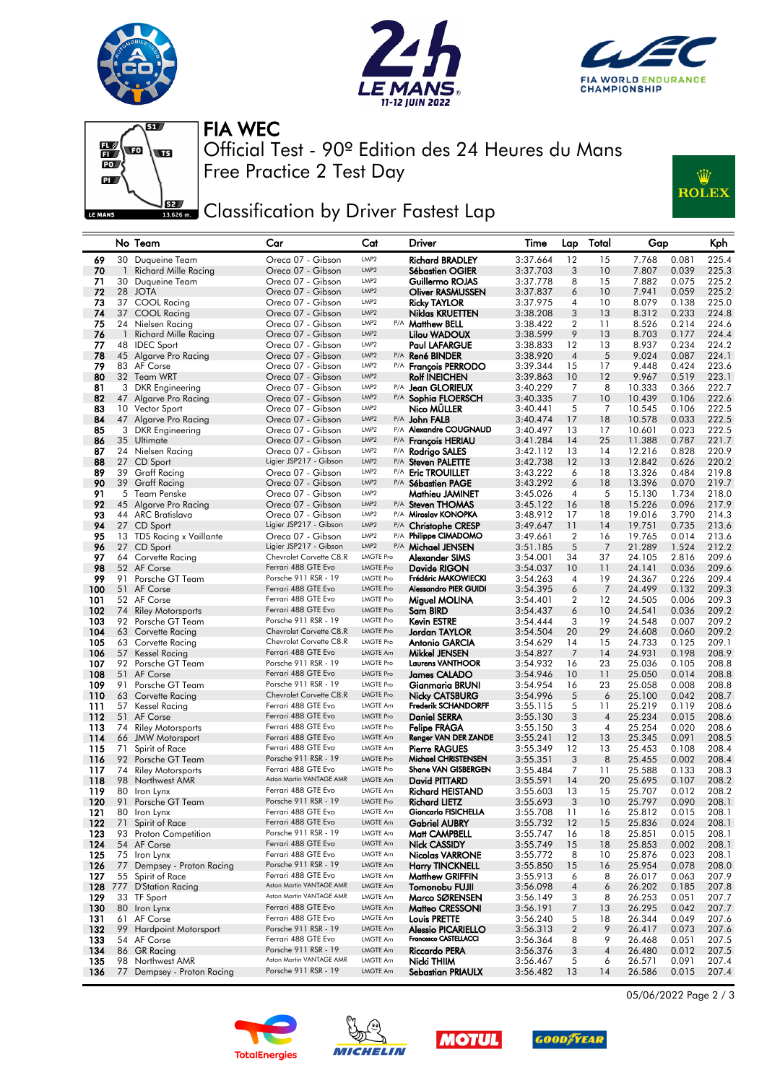





Ŵ

**ROLEX** 



Free Practice 2 Test Day Official Test - 90º Edition des 24 Heures du Mans FIA WEC



|            |              | No Team                                  | Car                                             | Cat                                  | Driver                                              | Time                 | Lap                 | Total    | Gap              |                | Kph            |
|------------|--------------|------------------------------------------|-------------------------------------------------|--------------------------------------|-----------------------------------------------------|----------------------|---------------------|----------|------------------|----------------|----------------|
| 69         |              | 30 Duqueine Team                         | Oreca 07 - Gibson                               | LMP <sub>2</sub>                     | <b>Richard BRADLEY</b>                              | 3:37.664             | 12                  | 15       | 7.768            | 0.081          | 225.4          |
| 70         | $\mathbf{1}$ | Richard Mille Racing                     | Oreca 07 - Gibson                               | LMP <sub>2</sub>                     | Sébastien OGIER                                     | 3:37.703             | 3                   | 10       | 7.807            | 0.039          | 225.3          |
| 71         | 30           | Duqueine Team                            | Oreca 07 - Gibson                               | LMP <sub>2</sub>                     | Guillermo ROJAS                                     | 3:37.778             | 8                   | 15       | 7.882            | 0.075          | 225.2          |
| 72         |              | 28 JOTA                                  | Oreca 07 - Gibson                               | LMP <sub>2</sub>                     | Oliver RASMUSSEN                                    | 3:37.837             | 6                   | 10       | 7.941            | 0.059          | 225.2          |
| 73         |              | 37 COOL Racing                           | Oreca 07 - Gibson                               | LMP <sub>2</sub>                     | Ricky TAYLOR                                        | 3:37.975             | 4                   | 10       | 8.079            | 0.138          | 225.0          |
| 74         | 37           | COOL Racing                              | Oreca 07 - Gibson                               | LMP <sub>2</sub>                     | <b>Niklas KRUETTEN</b>                              | 3:38.208             | 3                   | 13       | 8.312            | 0.233          | 224.8          |
| 75         | 24           | Nielsen Racing                           | Oreca 07 - Gibson                               | LMP <sub>2</sub>                     | P/A Matthew BELL                                    | 3:38.422             | 2                   | 11       | 8.526            | 0.214          | 224.6          |
| 76         | $\mathbf{1}$ | Richard Mille Racing                     | Oreca 07 - Gibson                               | LMP <sub>2</sub>                     | Lilou WADOUX                                        | 3:38.599             | 9                   | 13       | 8.703            | 0.177          | 224.4          |
| 77         |              | 48 IDEC Sport                            | Oreca 07 - Gibson                               | LMP <sub>2</sub>                     | <b>Paul LAFARGUE</b>                                | 3:38.833             | 12                  | 13       | 8.937            | 0.234          | 224.2          |
| 78         |              | 45 Algarve Pro Racing                    | Oreca 07 - Gibson                               | LMP <sub>2</sub><br>P/A              | <b>René BINDER</b>                                  | 3:38.920             | $\overline{4}$      | 5        | 9.024            | 0.087          | 224.1          |
| 79         |              | 83 AF Corse                              | Oreca 07 - Gibson                               | LMP <sub>2</sub><br>LMP <sub>2</sub> | P/A François PERRODO                                | 3:39.344             | 15                  | 17       | 9.448            | 0.424          | 223.6          |
| 80         |              | 32 Team WRT                              | Oreca 07 - Gibson                               | LMP <sub>2</sub>                     | <b>Rolf INEICHEN</b>                                | 3:39.863             | 10                  | 12       | 9.967            | 0.519          | 223.1          |
| 81<br>82   |              | 3 DKR Engineering                        | Oreca 07 - Gibson<br>Oreca 07 - Gibson          | LMP <sub>2</sub>                     | P/A Jean GLORIEUX                                   | 3:40.229             | 7<br>$\overline{7}$ | 8<br>10  | 10.333<br>10.439 | 0.366<br>0.106 | 222.7<br>222.6 |
| 83         |              | 47 Algarve Pro Racing<br>10 Vector Sport | Oreca 07 - Gibson                               | LMP <sub>2</sub>                     | P/A Sophia FLOERSCH<br>Nico MULLER                  | 3:40.335<br>3:40.441 | 5                   | 7        | 10.545           | 0.106          | 222.5          |
| 84         |              | 47 Algarve Pro Racing                    | Oreca 07 - Gibson                               | LMP <sub>2</sub>                     | P/A John FALB                                       | 3:40.474             | 17                  | 18       | 10.578           | 0.033          | 222.5          |
| 85         |              | 3 DKR Engineering                        | Oreca 07 - Gibson                               | LMP <sub>2</sub>                     | P/A Alexandre COUGNAUD                              | 3:40.497             | 13                  | 17       | 10.601           | 0.023          | 222.5          |
| 86         |              | 35 Ultimate                              | Oreca 07 - Gibson                               | LMP <sub>2</sub>                     | P/A François HERIAU                                 | 3:41.284             | 14                  | 25       | 11.388           | 0.787          | 221.7          |
| 87         |              | 24 Nielsen Racing                        | Oreca 07 - Gibson                               | LMP <sub>2</sub>                     | P/A Rodrigo SALES                                   | 3:42.112             | 13                  | 14       | 12.216           | 0.828          | 220.9          |
| 88         | 27           | CD Sport                                 | Ligier JSP217 - Gibson                          | LMP <sub>2</sub>                     | P/A Steven PALETTE                                  | 3:42.738             | 12                  | 13       | 12.842           | 0.626          | 220.2          |
| 89         | 39           | <b>Graff Racing</b>                      | Oreca 07 - Gibson                               | LMP <sub>2</sub>                     | P/A Eric TROUILLET                                  | 3:43.222             | 6                   | 18       | 13.326           | 0.484          | 219.8          |
| 90         |              | 39 Graff Racing                          | Oreca 07 - Gibson                               | LMP <sub>2</sub>                     | P/A Sébastien PAGE                                  | 3:43.292             | 6                   | 18       | 13.396           | 0.070          | 219.7          |
| 91         |              | 5 Team Penske                            | Oreca 07 - Gibson                               | LMP <sub>2</sub>                     | Mathieu JAMINET                                     | 3:45.026             | 4                   | 5        | 15.130           | 1.734          | 218.0          |
| 92         | 45           | Algarve Pro Racing                       | Oreca 07 - Gibson                               | LMP <sub>2</sub>                     | P/A Steven THOMAS                                   | 3:45.122             | 16                  | 18       | 15.226           | 0.096          | 217.9          |
| 93         |              | 44 ARC Bratislava                        | Oreca 07 - Gibson                               | LMP <sub>2</sub>                     | P/A Miroslav KONOPKA                                | 3:48.912             | 17                  | 18       | 19.016           | 3.790          | 214.3          |
| 94         |              | 27 CD Sport                              | Ligier JSP217 - Gibson                          | LMP <sub>2</sub><br>P/A              | <b>Christophe CRESP</b>                             | 3:49.647             | 11                  | 14       | 19.751           | 0.735          | 213.6          |
| 95         |              | 13 TDS Racing x Vaillante                | Oreca 07 - Gibson                               | LMP <sub>2</sub>                     | P/A Philippe CIMADOMO                               | 3:49.661             | $\overline{2}$      | 16       | 19.765           | 0.014          | 213.6          |
| 96         | 27           | CD Sport                                 | Ligier JSP217 - Gibson                          | LMP <sub>2</sub>                     | P/A Michael JENSEN                                  | 3:51.185             | 5                   | 7        | 21.289           | 1.524          | 212.2          |
| 97         |              | 64 Corvette Racing                       | Chevrolet Corvette C8.R                         | <b>LMGTE Pro</b>                     | Alexander SIMS                                      | 3:54.001             | 34                  | 37       | 24.105           | 2.816          | 209.6          |
| 98         |              | 52 AF Corse                              | Ferrari 488 GTE Evo                             | <b>LMGTE Pro</b>                     | Davide RIGON                                        | 3:54.037             | 10                  | 11       | 24.141           | 0.036          | 209.6          |
| 99         | 91           | Porsche GT Team                          | Porsche 911 RSR - 19                            | <b>LMGTE Pro</b>                     | Frédéric MAKOWIECKI                                 | 3:54.263             | 4                   | 19       | 24.367           | 0.226          | 209.4          |
| 100        |              | 51 AF Corse                              | Ferrari 488 GTE Evo                             | <b>LMGTE Pro</b>                     | <b>Alessandro PIER GUIDI</b>                        | 3:54.395             | 6                   | 7        | 24.499           | 0.132          | 209.3          |
| 101        |              | 52 AF Corse                              | Ferrari 488 GTE Evo<br>Ferrari 488 GTE Evo      | <b>LMGTE Pro</b><br><b>LMGTE Pro</b> | Miguel MOLINA                                       | 3:54.401             | 2                   | 12       | 24.505           | 0.006          | 209.3          |
| 102<br>103 | 74           | <b>Riley Motorsports</b>                 | Porsche 911 RSR - 19                            | <b>LMGTE Pro</b>                     | Sam BIRD                                            | 3:54.437             | 6                   | 10<br>19 | 24.541           | 0.036          | 209.2          |
| 104        |              | 92 Porsche GT Team<br>63 Corvette Racing | Chevrolet Corvette C8.R                         | <b>LMGTE Pro</b>                     | <b>Kevin ESTRE</b><br>Jordan TAYLOR                 | 3:54.444<br>3:54.504 | 3<br>20             | 29       | 24.548<br>24.608 | 0.007<br>0.060 | 209.2<br>209.2 |
| 105        |              | 63 Corvette Racing                       | Chevrolet Corvette C8.R                         | <b>LMGTE Pro</b>                     | Antonio GARCIA                                      | 3:54.629             | 14                  | 15       | 24.733           | 0.125          | 209.1          |
| 106        |              | 57 Kessel Racing                         | Ferrari 488 GTE Evo                             | LMGTE Am                             | Mikkel JENSEN                                       | 3:54.827             | 7                   | 14       | 24.931           | 0.198          | 208.9          |
| 107        | 92           | Porsche GT Team                          | Porsche 911 RSR - 19                            | <b>LMGTE Pro</b>                     | Laurens VANTHOOR                                    | 3:54.932             | 16                  | 23       | 25.036           | 0.105          | 208.8          |
| 108        |              | 51 AF Corse                              | Ferrari 488 GTE Evo                             | <b>LMGTE Pro</b>                     | James CALADO                                        | 3:54.946             | 10                  | 11       | 25.050           | 0.014          | 208.8          |
| 109        | 91           | Porsche GT Team                          | Porsche 911 RSR - 19                            | <b>LMGTE Pro</b>                     | Gianmaria BRUNI                                     | 3:54.954             | 16                  | 23       | 25.058           | 0.008          | 208.8          |
| 110        | 63           | Corvette Racing                          | Chevrolet Corvette C8.R                         | <b>LMGTE Pro</b>                     | Nicky CATSBURG                                      | 3:54.996             | 5                   | 6        | 25.100           | 0.042          | 208.7          |
| 111        | 57           | Kessel Racing                            | Ferrari 488 GTE Evo                             | LMGTE Am                             | <b>Frederik SCHANDORFF</b>                          | 3:55.115             | 5                   | 11       | 25.219           | 0.119          | 208.6          |
| 112        | 51           | AF Corse                                 | Ferrari 488 GTE Evo                             | <b>LMGTE Pro</b>                     | <b>Daniel SERRA</b>                                 | 3:55.130             | 3                   | 4        | 25.234           | 0.015          | 208.6          |
| 113        | 74           | <b>Riley Motorsports</b>                 | Ferrari 488 GTE Evo                             | <b>LMGTE Pro</b>                     | Felipe FRAGA                                        | 3:55.150             | 3                   | 4        | 25.254           | 0.020          | 208.6          |
| 114        | 66           | <b>JMW Motorsport</b>                    | Ferrari 488 GTE Evo                             | LMGTE Am                             | Renger VAN DER ZANDE                                | 3:55.241             | 12                  | 13       | 25.345           | 0.091          | 208.5          |
| 115        | 71           | Spirit of Race                           | Ferrari 488 GTE Evo                             | <b>LMGTE Am</b>                      | <b>Pierre RAGUES</b>                                | 3:55.349             | 12                  | 13       | 25.453           | 0.108          | 208.4          |
| 116        |              | 92 Porsche GT Team                       | Porsche 911 RSR - 19                            | <b>LMGTE Pro</b>                     | Michael CHRISTENSEN                                 | 3:55.351             | 3                   | 8        | 25.455           | 0.002          | 208.4          |
| 117        | 74           | <b>Riley Motorsports</b>                 | Ferrari 488 GTE Evo<br>Aston Martin VANTAGE AMR | <b>LMGTE Pro</b>                     | Shane VAN GISBERGEN                                 | 3:55.484             | 7                   | 11       | 25.588           | 0.133          | 208.3          |
| 118        | 98           | Northwest AMR                            | Ferrari 488 GTE Evo                             | LMGTE Am<br>LMGTE Am                 | <b>David PITTARD</b>                                | 3:55.591             | 14                  | 20       | 25.695           | 0.107          | 208.2          |
| 119        | 80           | Iron Lynx                                | Porsche 911 RSR - 19                            | <b>LMGTE Pro</b>                     | Richard HEISTAND                                    | 3:55.603             | 13                  | 15       | 25.707           | 0.012          | 208.2          |
| 120<br>121 | 91           | Porsche GT Team<br>80 Iron Lynx          | Ferrari 488 GTE Evo                             | <b>LMGTE Am</b>                      | <b>Richard LIETZ</b><br><b>Giancarlo FISICHELLA</b> | 3:55.693             | 3<br>11             | 10<br>16 | 25.797<br>25.812 | 0.090<br>0.015 | 208.1<br>208.1 |
| 122        |              | 71 Spirit of Race                        | Ferrari 488 GTE Evo                             | LMGTE Am                             | <b>Gabriel AUBRY</b>                                | 3:55.708<br>3:55.732 | 12                  | 15       | 25.836           | 0.024          | 208.1          |
| 123        |              | 93 Proton Competition                    | Porsche 911 RSR - 19                            | <b>LMGTE Am</b>                      | Matt CAMPBELL                                       | 3:55.747             | 16                  | 18       | 25.851           | 0.015          | 208.1          |
| 124        |              | 54 AF Corse                              | Ferrari 488 GTE Evo                             | LMGTE Am                             | Nick CASSIDY                                        | 3:55.749             | 15                  | 18       | 25.853           | 0.002          | 208.1          |
| 125        |              | 75 Iron Lynx                             | Ferrari 488 GTE Evo                             | <b>LMGTE Am</b>                      | Nicolas VARRONE                                     | 3:55.772             | 8                   | 10       | 25.876           | 0.023          | 208.1          |
| 126        |              | 77 Dempsey - Proton Racing               | Porsche 911 RSR - 19                            | LMGTE Am                             | <b>Harry TINCKNELL</b>                              | 3:55.850             | 15                  | 16       | 25.954           | 0.078          | 208.0          |
| 127        |              | 55 Spirit of Race                        | Ferrari 488 GTE Evo                             | LMGTE Am                             | <b>Matthew GRIFFIN</b>                              | 3:55.913             | 6                   | 8        | 26.017           | 0.063          | 207.9          |
| 128        |              | 777 D'Station Racing                     | Aston Martin VANTAGE AMR                        | LMGTE Am                             | Tomonobu FUJII                                      | 3:56.098             | $\overline{4}$      | 6        | 26.202           | 0.185          | 207.8          |
| 129        |              | 33 TF Sport                              | Aston Martin VANTAGE AMR                        | <b>LMGTE Am</b>                      | Marco SØRENSEN                                      | 3:56.149             | 3                   | 8        | 26.253           | 0.051          | 207.7          |
| 130        |              | 80 Iron Lynx                             | Ferrari 488 GTE Evo                             | LMGTE Am                             | Matteo CRESSONI                                     | 3:56.191             | 7                   | 13       | 26.295           | 0.042          | 207.7          |
| 131        |              | 61 AF Corse                              | Ferrari 488 GTE Evo                             | <b>LMGTE Am</b>                      | Louis PRETTE                                        | 3:56.240             | 5                   | 18       | 26.344           | 0.049          | 207.6          |
| 132        |              | 99 Hardpoint Motorsport                  | Porsche 911 RSR - 19                            | LMGTE Am                             | <b>Alessio PICARIELLO</b>                           | 3:56.313             | $\boldsymbol{2}$    | 9        | 26.417           | 0.073          | 207.6          |
| 133        |              | 54 AF Corse                              | Ferrari 488 GTE Evo                             | LMGTE Am                             | Francesco CASTELLACCI                               | 3:56.364             | 8                   | 9        | 26.468           | 0.051          | 207.5          |
| 134        |              | 86 GR Racing                             | Porsche 911 RSR - 19                            | LMGTE Am                             | Riccardo PERA                                       | 3:56.376             | 3                   | 4        | 26.480           | 0.012          | 207.5          |
| 135        |              | 98 Northwest AMR                         | Aston Martin VANTAGE AMR                        | <b>LMGTE Am</b>                      | Nicki THIIM                                         | 3:56.467             | 5                   | 6        | 26.571           | 0.091          | 207.4          |
| 136        |              | 77 Dempsey - Proton Racing               | Porsche 911 RSR - 19                            | LMGTE Am                             | Sebastian PRIAULX                                   | 3:56.482             | 13                  | 14       | 26.586           | 0.015          | 207.4          |









05/06/2022 Page 2 / 3